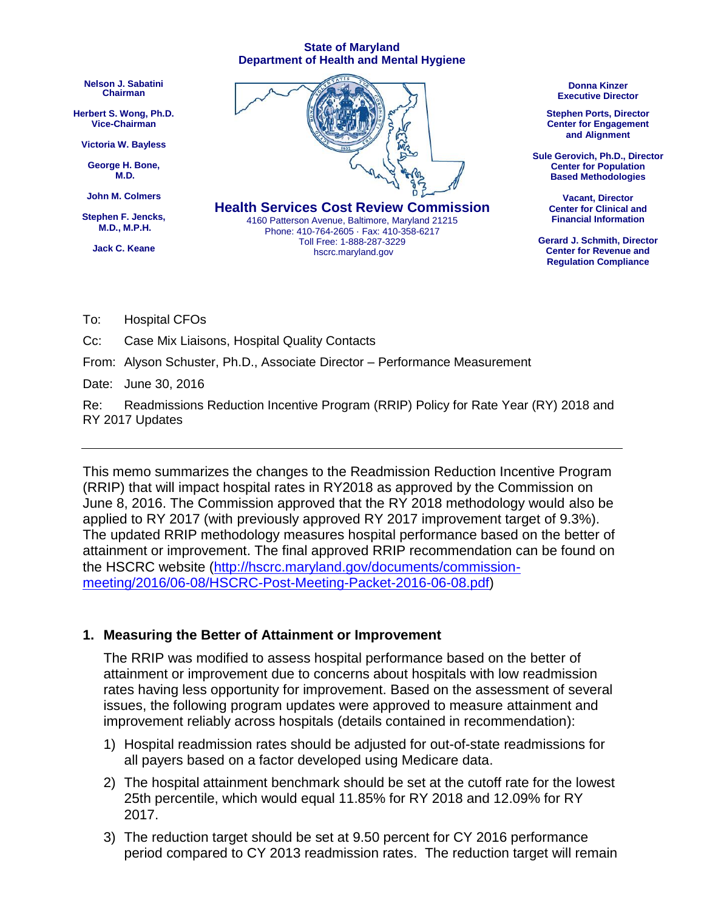#### **State of Maryland Department of Health and Mental Hygiene**



To: Hospital CFOs

Cc: Case Mix Liaisons, Hospital Quality Contacts

From: Alyson Schuster, Ph.D., Associate Director – Performance Measurement

Date: June 30, 2016

Re: Readmissions Reduction Incentive Program (RRIP) Policy for Rate Year (RY) 2018 and RY 2017 Updates

This memo summarizes the changes to the Readmission Reduction Incentive Program (RRIP) that will impact hospital rates in RY2018 as approved by the Commission on June 8, 2016. The Commission approved that the RY 2018 methodology would also be applied to RY 2017 (with previously approved RY 2017 improvement target of 9.3%). The updated RRIP methodology measures hospital performance based on the better of attainment or improvement. The final approved RRIP recommendation can be found on the HSCRC website [\(http://hscrc.maryland.gov/documents/commission](http://hscrc.maryland.gov/documents/commission-meeting/2016/06-08/HSCRC-Post-Meeting-Packet-2016-06-08.pdf)[meeting/2016/06-08/HSCRC-Post-Meeting-Packet-2016-06-08.pdf\)](http://hscrc.maryland.gov/documents/commission-meeting/2016/06-08/HSCRC-Post-Meeting-Packet-2016-06-08.pdf)

#### **1. Measuring the Better of Attainment or Improvement**

The RRIP was modified to assess hospital performance based on the better of attainment or improvement due to concerns about hospitals with low readmission rates having less opportunity for improvement. Based on the assessment of several issues, the following program updates were approved to measure attainment and improvement reliably across hospitals (details contained in recommendation):

- 1) Hospital readmission rates should be adjusted for out-of-state readmissions for all payers based on a factor developed using Medicare data.
- 2) The hospital attainment benchmark should be set at the cutoff rate for the lowest 25th percentile, which would equal 11.85% for RY 2018 and 12.09% for RY 2017.
- 3) The reduction target should be set at 9.50 percent for CY 2016 performance period compared to CY 2013 readmission rates. The reduction target will remain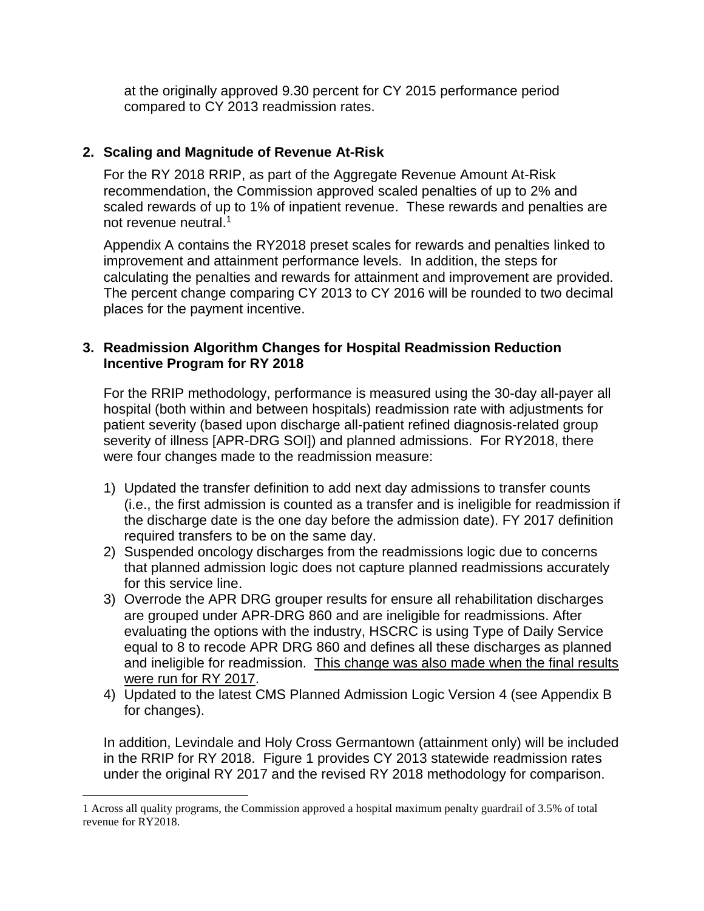at the originally approved 9.30 percent for CY 2015 performance period compared to CY 2013 readmission rates.

### **2. Scaling and Magnitude of Revenue At-Risk**

For the RY 2018 RRIP, as part of the Aggregate Revenue Amount At-Risk recommendation, the Commission approved scaled penalties of up to 2% and scaled rewards of up to 1% of inpatient revenue. These rewards and penalties are not revenue neutral.<sup>1</sup>

Appendix A contains the RY2018 preset scales for rewards and penalties linked to improvement and attainment performance levels. In addition, the steps for calculating the penalties and rewards for attainment and improvement are provided. The percent change comparing CY 2013 to CY 2016 will be rounded to two decimal places for the payment incentive.

#### **3. Readmission Algorithm Changes for Hospital Readmission Reduction Incentive Program for RY 2018**

For the RRIP methodology, performance is measured using the 30-day all-payer all hospital (both within and between hospitals) readmission rate with adjustments for patient severity (based upon discharge all-patient refined diagnosis-related group severity of illness [APR-DRG SOI]) and planned admissions. For RY2018, there were four changes made to the readmission measure:

- 1) Updated the transfer definition to add next day admissions to transfer counts (i.e., the first admission is counted as a transfer and is ineligible for readmission if the discharge date is the one day before the admission date). FY 2017 definition required transfers to be on the same day.
- 2) Suspended oncology discharges from the readmissions logic due to concerns that planned admission logic does not capture planned readmissions accurately for this service line.
- 3) Overrode the APR DRG grouper results for ensure all rehabilitation discharges are grouped under APR-DRG 860 and are ineligible for readmissions. After evaluating the options with the industry, HSCRC is using Type of Daily Service equal to 8 to recode APR DRG 860 and defines all these discharges as planned and ineligible for readmission. This change was also made when the final results were run for RY 2017.
- 4) Updated to the latest CMS Planned Admission Logic Version 4 (see Appendix B for changes).

In addition, Levindale and Holy Cross Germantown (attainment only) will be included in the RRIP for RY 2018. Figure 1 provides CY 2013 statewide readmission rates under the original RY 2017 and the revised RY 2018 methodology for comparison.

 $\overline{a}$ 

<sup>1</sup> Across all quality programs, the Commission approved a hospital maximum penalty guardrail of 3.5% of total revenue for RY2018.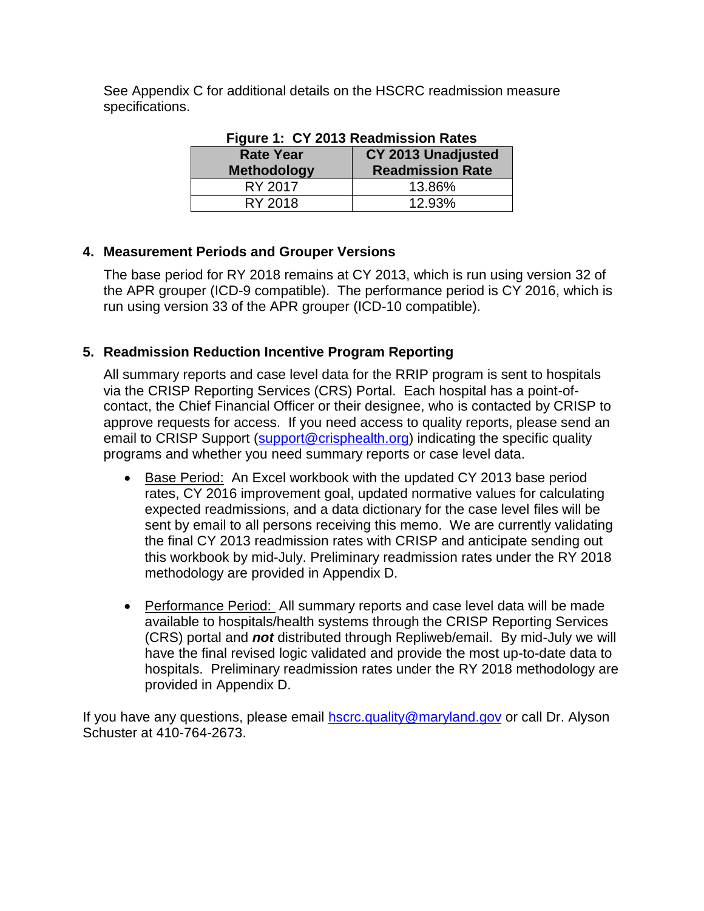See Appendix C for additional details on the HSCRC readmission measure specifications.

| Figure 1. UT ZUIS Readifiession Rates |                           |  |  |  |
|---------------------------------------|---------------------------|--|--|--|
| <b>Rate Year</b>                      | <b>CY 2013 Unadjusted</b> |  |  |  |
| <b>Methodology</b>                    | <b>Readmission Rate</b>   |  |  |  |
| RY 2017                               | 13.86%                    |  |  |  |
| RY 2018                               | 12.93%                    |  |  |  |

# **Figure 1: CY 2013 Readmission Rates**

## **4. Measurement Periods and Grouper Versions**

The base period for RY 2018 remains at CY 2013, which is run using version 32 of the APR grouper (ICD-9 compatible). The performance period is CY 2016, which is run using version 33 of the APR grouper (ICD-10 compatible).

## **5. Readmission Reduction Incentive Program Reporting**

All summary reports and case level data for the RRIP program is sent to hospitals via the CRISP Reporting Services (CRS) Portal. Each hospital has a point-ofcontact, the Chief Financial Officer or their designee, who is contacted by CRISP to approve requests for access. If you need access to quality reports, please send an email to CRISP Support [\(support@crisphealth.org\)](mailto:support@crisphealth.org) indicating the specific quality programs and whether you need summary reports or case level data.

- Base Period: An Excel workbook with the updated CY 2013 base period rates, CY 2016 improvement goal, updated normative values for calculating expected readmissions, and a data dictionary for the case level files will be sent by email to all persons receiving this memo. We are currently validating the final CY 2013 readmission rates with CRISP and anticipate sending out this workbook by mid-July. Preliminary readmission rates under the RY 2018 methodology are provided in Appendix D.
- Performance Period: All summary reports and case level data will be made available to hospitals/health systems through the CRISP Reporting Services (CRS) portal and *not* distributed through Repliweb/email. By mid-July we will have the final revised logic validated and provide the most up-to-date data to hospitals. Preliminary readmission rates under the RY 2018 methodology are provided in Appendix D.

If you have any questions, please email [hscrc.quality@maryland.gov](mailto:hscrc.quality@maryland.gov) or call Dr. Alyson Schuster at 410-764-2673.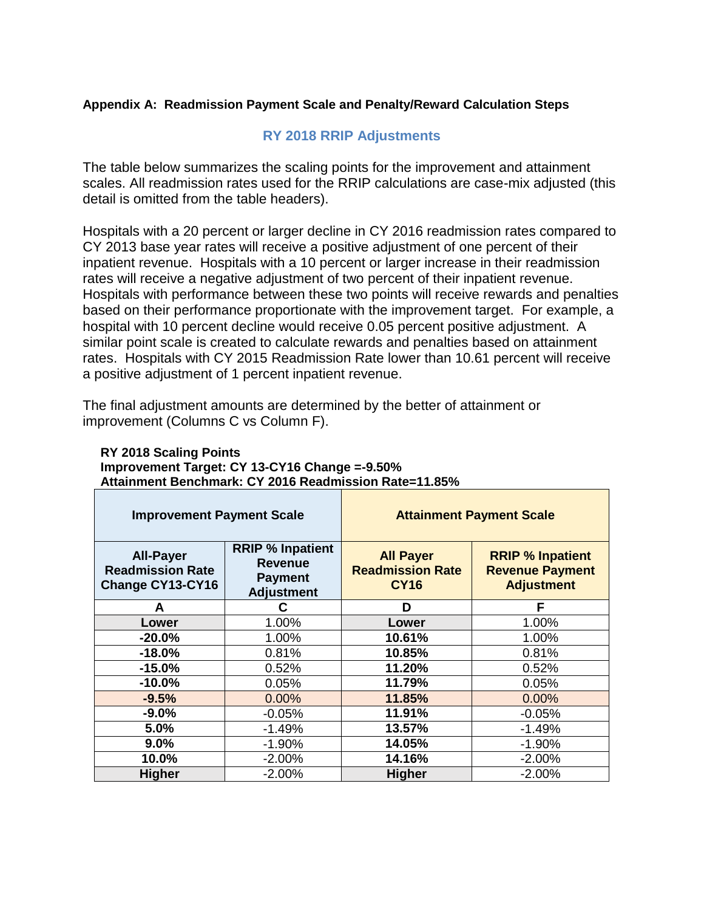#### **Appendix A: Readmission Payment Scale and Penalty/Reward Calculation Steps**

#### **RY 2018 RRIP Adjustments**

The table below summarizes the scaling points for the improvement and attainment scales. All readmission rates used for the RRIP calculations are case-mix adjusted (this detail is omitted from the table headers).

Hospitals with a 20 percent or larger decline in CY 2016 readmission rates compared to CY 2013 base year rates will receive a positive adjustment of one percent of their inpatient revenue. Hospitals with a 10 percent or larger increase in their readmission rates will receive a negative adjustment of two percent of their inpatient revenue. Hospitals with performance between these two points will receive rewards and penalties based on their performance proportionate with the improvement target. For example, a hospital with 10 percent decline would receive 0.05 percent positive adjustment. A similar point scale is created to calculate rewards and penalties based on attainment rates. Hospitals with CY 2015 Readmission Rate lower than 10.61 percent will receive a positive adjustment of 1 percent inpatient revenue.

The final adjustment amounts are determined by the better of attainment or improvement (Columns C vs Column F).

| <b>RY 2018 Scaling Points</b>                                |
|--------------------------------------------------------------|
| Improvement Target: CY 13-CY16 Change =-9.50%                |
| <b>Attainment Benchmark: CY 2016 Readmission Rate=11.85%</b> |

| <b>Improvement Payment Scale</b>                                |                                                                                  | <b>Attainment Payment Scale</b>                            |                                                                        |  |
|-----------------------------------------------------------------|----------------------------------------------------------------------------------|------------------------------------------------------------|------------------------------------------------------------------------|--|
| <b>All-Payer</b><br><b>Readmission Rate</b><br>Change CY13-CY16 | <b>RRIP % Inpatient</b><br><b>Revenue</b><br><b>Payment</b><br><b>Adjustment</b> | <b>All Payer</b><br><b>Readmission Rate</b><br><b>CY16</b> | <b>RRIP % Inpatient</b><br><b>Revenue Payment</b><br><b>Adjustment</b> |  |
| A                                                               | C                                                                                | D                                                          | F                                                                      |  |
| Lower                                                           | 1.00%                                                                            | Lower                                                      | 1.00%                                                                  |  |
| $-20.0%$                                                        | 1.00%                                                                            | 10.61%                                                     | 1.00%                                                                  |  |
| $-18.0%$                                                        | 0.81%                                                                            | 10.85%                                                     | 0.81%                                                                  |  |
| $-15.0%$                                                        | 0.52%                                                                            | 11.20%                                                     | 0.52%                                                                  |  |
| $-10.0%$                                                        | 0.05%                                                                            | 11.79%                                                     | 0.05%                                                                  |  |
| $-9.5%$                                                         | 0.00%                                                                            | 11.85%                                                     | 0.00%                                                                  |  |
| $-9.0%$                                                         | $-0.05%$                                                                         | 11.91%                                                     | $-0.05%$                                                               |  |
| 5.0%                                                            | $-1.49%$                                                                         | 13.57%                                                     | $-1.49%$                                                               |  |
| 9.0%                                                            | $-1.90%$                                                                         | 14.05%                                                     | $-1.90%$                                                               |  |
| 10.0%                                                           | $-2.00%$                                                                         | 14.16%                                                     | $-2.00%$                                                               |  |
| <b>Higher</b>                                                   | $-2.00%$                                                                         | <b>Higher</b>                                              | $-2.00%$                                                               |  |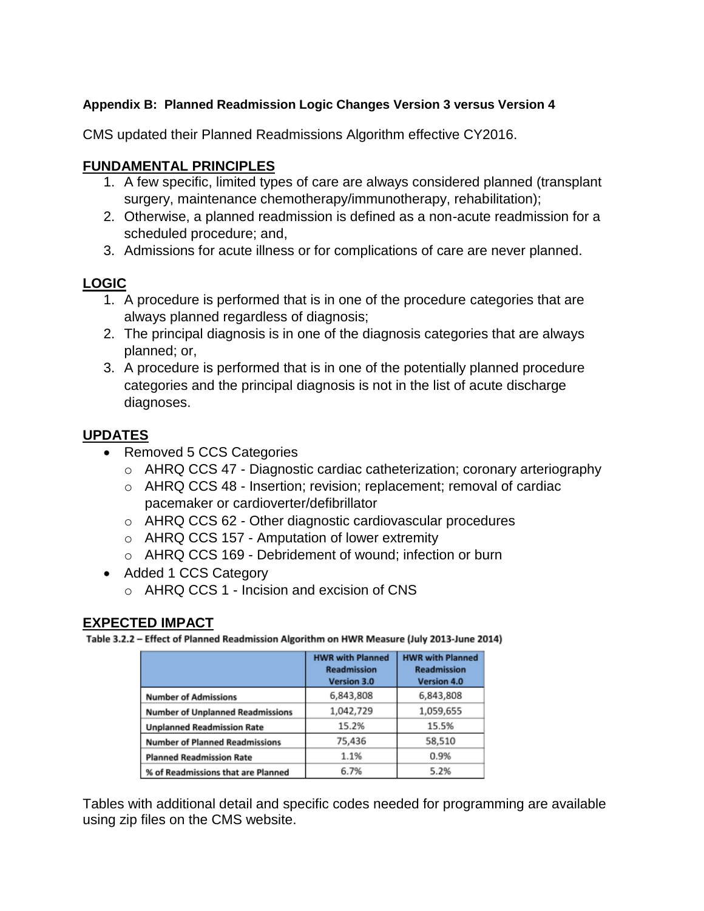### **Appendix B: Planned Readmission Logic Changes Version 3 versus Version 4**

CMS updated their Planned Readmissions Algorithm effective CY2016.

### **FUNDAMENTAL PRINCIPLES**

- 1. A few specific, limited types of care are always considered planned (transplant surgery, maintenance chemotherapy/immunotherapy, rehabilitation);
- 2. Otherwise, a planned readmission is defined as a non-acute readmission for a scheduled procedure; and,
- 3. Admissions for acute illness or for complications of care are never planned.

## **LOGIC**

- 1. A procedure is performed that is in one of the procedure categories that are always planned regardless of diagnosis;
- 2. The principal diagnosis is in one of the diagnosis categories that are always planned; or,
- 3. A procedure is performed that is in one of the potentially planned procedure categories and the principal diagnosis is not in the list of acute discharge diagnoses.

## **UPDATES**

- Removed 5 CCS Categories
	- o AHRQ CCS 47 Diagnostic cardiac catheterization; coronary arteriography
	- o AHRQ CCS 48 Insertion; revision; replacement; removal of cardiac pacemaker or cardioverter/defibrillator
	- o AHRQ CCS 62 Other diagnostic cardiovascular procedures
	- o AHRQ CCS 157 Amputation of lower extremity
	- o AHRQ CCS 169 Debridement of wound; infection or burn
- Added 1 CCS Category
	- o AHRQ CCS 1 Incision and excision of CNS

#### **EXPECTED IMPACT**

Table 3.2.2 - Effect of Planned Readmission Algorithm on HWR Measure (July 2013-June 2014)

|                                         | <b>HWR with Planned</b><br><b>Readmission</b><br>Version 3.0 | <b>HWR with Planned</b><br><b>Readmission</b><br>Version 4.0 |
|-----------------------------------------|--------------------------------------------------------------|--------------------------------------------------------------|
| <b>Number of Admissions</b>             | 6,843,808                                                    | 6,843,808                                                    |
| <b>Number of Unplanned Readmissions</b> | 1,042,729                                                    | 1,059,655                                                    |
| <b>Unplanned Readmission Rate</b>       | 15.2%                                                        | 15.5%                                                        |
| <b>Number of Planned Readmissions</b>   | 75,436                                                       | 58,510                                                       |
| <b>Planned Readmission Rate</b>         | 1.1%                                                         | 0.9%                                                         |
| % of Readmissions that are Planned      | 6.7%                                                         | 5.2%                                                         |

Tables with additional detail and specific codes needed for programming are available using zip files on the CMS website.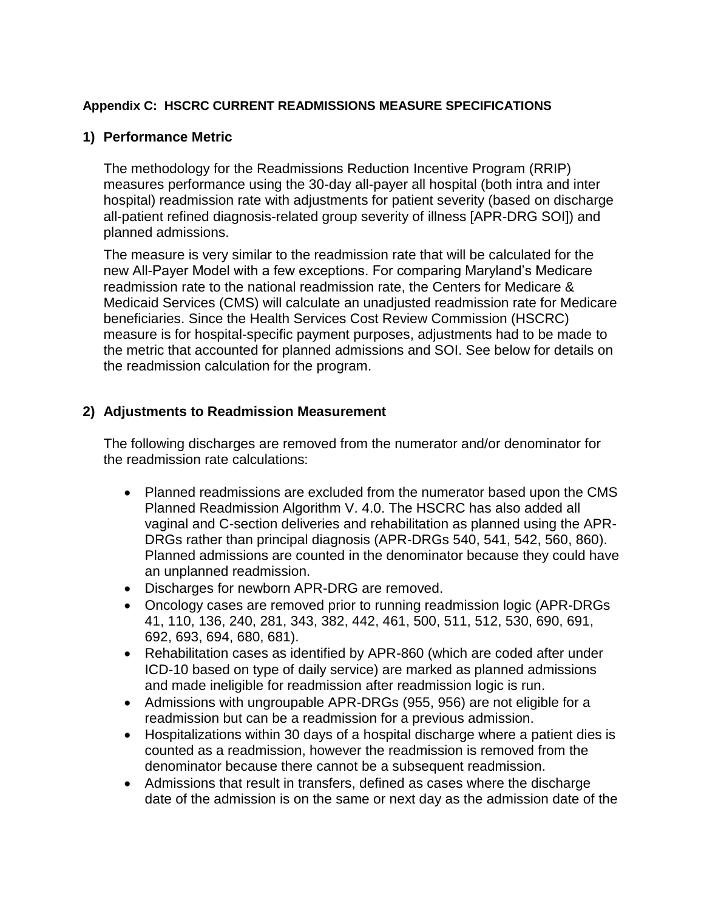#### **Appendix C: HSCRC CURRENT READMISSIONS MEASURE SPECIFICATIONS**

#### **1) Performance Metric**

The methodology for the Readmissions Reduction Incentive Program (RRIP) measures performance using the 30-day all-payer all hospital (both intra and inter hospital) readmission rate with adjustments for patient severity (based on discharge all-patient refined diagnosis-related group severity of illness [APR-DRG SOI]) and planned admissions.

The measure is very similar to the readmission rate that will be calculated for the new All-Payer Model with a few exceptions. For comparing Maryland's Medicare readmission rate to the national readmission rate, the Centers for Medicare & Medicaid Services (CMS) will calculate an unadjusted readmission rate for Medicare beneficiaries. Since the Health Services Cost Review Commission (HSCRC) measure is for hospital-specific payment purposes, adjustments had to be made to the metric that accounted for planned admissions and SOI. See below for details on the readmission calculation for the program.

### **2) Adjustments to Readmission Measurement**

The following discharges are removed from the numerator and/or denominator for the readmission rate calculations:

- Planned readmissions are excluded from the numerator based upon the CMS Planned Readmission Algorithm V. 4.0. The HSCRC has also added all vaginal and C-section deliveries and rehabilitation as planned using the APR-DRGs rather than principal diagnosis (APR-DRGs 540, 541, 542, 560, 860). Planned admissions are counted in the denominator because they could have an unplanned readmission.
- Discharges for newborn APR-DRG are removed.
- Oncology cases are removed prior to running readmission logic (APR-DRGs 41, 110, 136, 240, 281, 343, 382, 442, 461, 500, 511, 512, 530, 690, 691, 692, 693, 694, 680, 681).
- Rehabilitation cases as identified by APR-860 (which are coded after under ICD-10 based on type of daily service) are marked as planned admissions and made ineligible for readmission after readmission logic is run.
- Admissions with ungroupable APR-DRGs (955, 956) are not eligible for a readmission but can be a readmission for a previous admission.
- Hospitalizations within 30 days of a hospital discharge where a patient dies is counted as a readmission, however the readmission is removed from the denominator because there cannot be a subsequent readmission.
- Admissions that result in transfers, defined as cases where the discharge date of the admission is on the same or next day as the admission date of the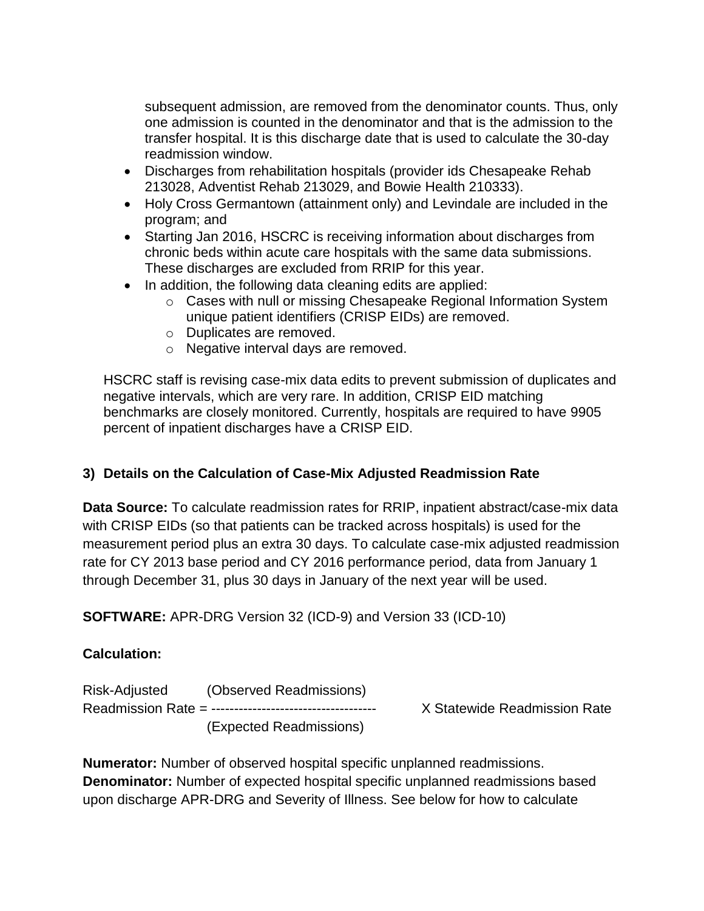subsequent admission, are removed from the denominator counts. Thus, only one admission is counted in the denominator and that is the admission to the transfer hospital. It is this discharge date that is used to calculate the 30-day readmission window.

- Discharges from rehabilitation hospitals (provider ids Chesapeake Rehab 213028, Adventist Rehab 213029, and Bowie Health 210333).
- Holy Cross Germantown (attainment only) and Levindale are included in the program; and
- Starting Jan 2016, HSCRC is receiving information about discharges from chronic beds within acute care hospitals with the same data submissions. These discharges are excluded from RRIP for this year.
- In addition, the following data cleaning edits are applied:
	- o Cases with null or missing Chesapeake Regional Information System unique patient identifiers (CRISP EIDs) are removed.
	- o Duplicates are removed.
	- o Negative interval days are removed.

HSCRC staff is revising case-mix data edits to prevent submission of duplicates and negative intervals, which are very rare. In addition, CRISP EID matching benchmarks are closely monitored. Currently, hospitals are required to have 9905 percent of inpatient discharges have a CRISP EID.

### **3) Details on the Calculation of Case-Mix Adjusted Readmission Rate**

**Data Source:** To calculate readmission rates for RRIP, inpatient abstract/case-mix data with CRISP EIDs (so that patients can be tracked across hospitals) is used for the measurement period plus an extra 30 days. To calculate case-mix adjusted readmission rate for CY 2013 base period and CY 2016 performance period, data from January 1 through December 31, plus 30 days in January of the next year will be used.

**SOFTWARE:** APR-DRG Version 32 (ICD-9) and Version 33 (ICD-10)

### **Calculation:**

Risk-Adjusted (Observed Readmissions) Readmission Rate = ------------------------------------ X Statewide Readmission Rate (Expected Readmissions)

**Numerator:** Number of observed hospital specific unplanned readmissions. **Denominator:** Number of expected hospital specific unplanned readmissions based upon discharge APR-DRG and Severity of Illness. See below for how to calculate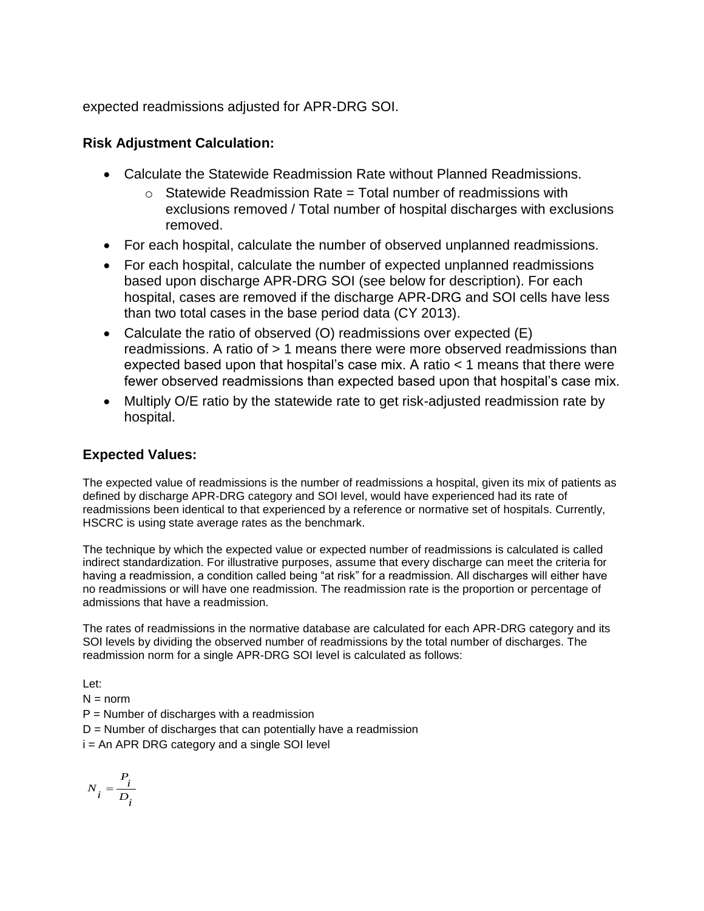expected readmissions adjusted for APR-DRG SOI.

### **Risk Adjustment Calculation:**

- Calculate the Statewide Readmission Rate without Planned Readmissions.
	- $\circ$  Statewide Readmission Rate = Total number of readmissions with exclusions removed / Total number of hospital discharges with exclusions removed.
- For each hospital, calculate the number of observed unplanned readmissions.
- For each hospital, calculate the number of expected unplanned readmissions based upon discharge APR-DRG SOI (see below for description). For each hospital, cases are removed if the discharge APR-DRG and SOI cells have less than two total cases in the base period data (CY 2013).
- Calculate the ratio of observed (O) readmissions over expected (E) readmissions. A ratio of > 1 means there were more observed readmissions than expected based upon that hospital's case mix. A ratio < 1 means that there were fewer observed readmissions than expected based upon that hospital's case mix.
- Multiply O/E ratio by the statewide rate to get risk-adjusted readmission rate by hospital.

## **Expected Values:**

The expected value of readmissions is the number of readmissions a hospital, given its mix of patients as defined by discharge APR-DRG category and SOI level, would have experienced had its rate of readmissions been identical to that experienced by a reference or normative set of hospitals. Currently, HSCRC is using state average rates as the benchmark.

The technique by which the expected value or expected number of readmissions is calculated is called indirect standardization. For illustrative purposes, assume that every discharge can meet the criteria for having a readmission, a condition called being "at risk" for a readmission. All discharges will either have no readmissions or will have one readmission. The readmission rate is the proportion or percentage of admissions that have a readmission.

The rates of readmissions in the normative database are calculated for each APR-DRG category and its SOI levels by dividing the observed number of readmissions by the total number of discharges. The readmission norm for a single APR-DRG SOI level is calculated as follows:

Let:

 $N = norm$ 

 $P =$  Number of discharges with a readmission

 $D =$  Number of discharges that can potentially have a readmission

i = An APR DRG category and a single SOI level

$$
N_i = \frac{P_i}{D_i}
$$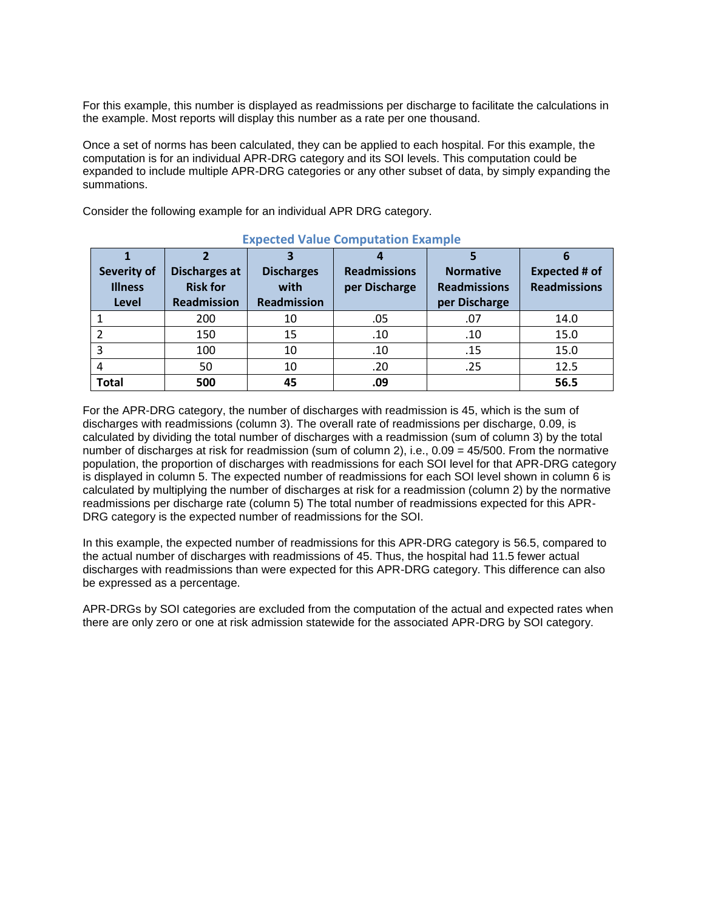For this example, this number is displayed as readmissions per discharge to facilitate the calculations in the example. Most reports will display this number as a rate per one thousand.

Once a set of norms has been calculated, they can be applied to each hospital. For this example, the computation is for an individual APR-DRG category and its SOI levels. This computation could be expanded to include multiple APR-DRG categories or any other subset of data, by simply expanding the summations.

Consider the following example for an individual APR DRG category.

| Severity of<br><b>Illness</b><br>Level | Discharges at<br><b>Risk for</b><br>Readmission | <b>Discharges</b><br>with<br><b>Readmission</b> | <b>Readmissions</b><br>per Discharge | <b>Normative</b><br><b>Readmissions</b><br>per Discharge | <b>Expected # of</b><br><b>Readmissions</b> |
|----------------------------------------|-------------------------------------------------|-------------------------------------------------|--------------------------------------|----------------------------------------------------------|---------------------------------------------|
|                                        | 200                                             | 10                                              | .05                                  | .07                                                      | 14.0                                        |
|                                        | 150                                             | 15                                              | .10                                  | .10                                                      | 15.0                                        |
|                                        | 100                                             | 10                                              | .10                                  | .15                                                      | 15.0                                        |
|                                        | 50                                              | 10                                              | .20                                  | .25                                                      | 12.5                                        |
| Total                                  | 500                                             | 45                                              | .09                                  |                                                          | 56.5                                        |

#### **Expected Value Computation Example**

For the APR-DRG category, the number of discharges with readmission is 45, which is the sum of discharges with readmissions (column 3). The overall rate of readmissions per discharge, 0.09, is calculated by dividing the total number of discharges with a readmission (sum of column 3) by the total number of discharges at risk for readmission (sum of column 2), i.e., 0.09 = 45/500. From the normative population, the proportion of discharges with readmissions for each SOI level for that APR-DRG category is displayed in column 5. The expected number of readmissions for each SOI level shown in column 6 is calculated by multiplying the number of discharges at risk for a readmission (column 2) by the normative readmissions per discharge rate (column 5) The total number of readmissions expected for this APR-DRG category is the expected number of readmissions for the SOI.

In this example, the expected number of readmissions for this APR-DRG category is 56.5, compared to the actual number of discharges with readmissions of 45. Thus, the hospital had 11.5 fewer actual discharges with readmissions than were expected for this APR-DRG category. This difference can also be expressed as a percentage.

APR-DRGs by SOI categories are excluded from the computation of the actual and expected rates when there are only zero or one at risk admission statewide for the associated APR-DRG by SOI category.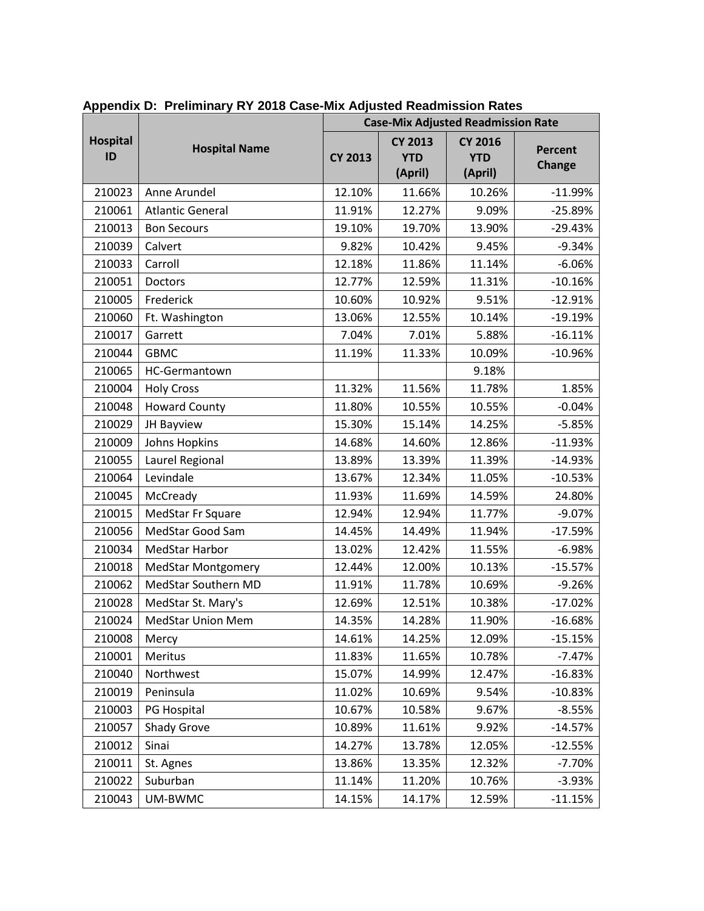|                       | <b>Hospital Name</b>      |                | <b>Case-Mix Adjusted Readmission Rate</b> |                                         |                          |  |
|-----------------------|---------------------------|----------------|-------------------------------------------|-----------------------------------------|--------------------------|--|
| <b>Hospital</b><br>ID |                           | <b>CY 2013</b> | <b>CY 2013</b><br><b>YTD</b><br>(April)   | <b>CY 2016</b><br><b>YTD</b><br>(April) | Percent<br><b>Change</b> |  |
| 210023                | Anne Arundel              | 12.10%         | 11.66%                                    | 10.26%                                  | $-11.99%$                |  |
| 210061                | <b>Atlantic General</b>   | 11.91%         | 12.27%                                    | 9.09%                                   | $-25.89%$                |  |
| 210013                | <b>Bon Secours</b>        | 19.10%         | 19.70%                                    | 13.90%                                  | $-29.43%$                |  |
| 210039                | Calvert                   | 9.82%          | 10.42%                                    | 9.45%                                   | $-9.34%$                 |  |
| 210033                | Carroll                   | 12.18%         | 11.86%                                    | 11.14%                                  | $-6.06%$                 |  |
| 210051                | Doctors                   | 12.77%         | 12.59%                                    | 11.31%                                  | $-10.16%$                |  |
| 210005                | Frederick                 | 10.60%         | 10.92%                                    | 9.51%                                   | $-12.91%$                |  |
| 210060                | Ft. Washington            | 13.06%         | 12.55%                                    | 10.14%                                  | $-19.19%$                |  |
| 210017                | Garrett                   | 7.04%          | 7.01%                                     | 5.88%                                   | $-16.11%$                |  |
| 210044                | <b>GBMC</b>               | 11.19%         | 11.33%                                    | 10.09%                                  | $-10.96%$                |  |
| 210065                | HC-Germantown             |                |                                           | 9.18%                                   |                          |  |
| 210004                | <b>Holy Cross</b>         | 11.32%         | 11.56%                                    | 11.78%                                  | 1.85%                    |  |
| 210048                | <b>Howard County</b>      | 11.80%         | 10.55%                                    | 10.55%                                  | $-0.04%$                 |  |
| 210029                | JH Bayview                | 15.30%         | 15.14%                                    | 14.25%                                  | $-5.85%$                 |  |
| 210009                | <b>Johns Hopkins</b>      | 14.68%         | 14.60%                                    | 12.86%                                  | $-11.93%$                |  |
| 210055                | Laurel Regional           | 13.89%         | 13.39%                                    | 11.39%                                  | $-14.93%$                |  |
| 210064                | Levindale                 | 13.67%         | 12.34%                                    | 11.05%                                  | $-10.53%$                |  |
| 210045                | McCready                  | 11.93%         | 11.69%                                    | 14.59%                                  | 24.80%                   |  |
| 210015                | MedStar Fr Square         | 12.94%         | 12.94%                                    | 11.77%                                  | $-9.07%$                 |  |
| 210056                | MedStar Good Sam          | 14.45%         | 14.49%                                    | 11.94%                                  | $-17.59%$                |  |
| 210034                | <b>MedStar Harbor</b>     | 13.02%         | 12.42%                                    | 11.55%                                  | $-6.98%$                 |  |
| 210018                | <b>MedStar Montgomery</b> | 12.44%         | 12.00%                                    | 10.13%                                  | $-15.57%$                |  |
| 210062                | MedStar Southern MD       | 11.91%         | 11.78%                                    | 10.69%                                  | $-9.26%$                 |  |
| 210028                | MedStar St. Mary's        | 12.69%         | 12.51%                                    | 10.38%                                  | $-17.02%$                |  |
| 210024                | <b>MedStar Union Mem</b>  | 14.35%         | 14.28%                                    | 11.90%                                  | $-16.68%$                |  |
| 210008                | Mercy                     | 14.61%         | 14.25%                                    | 12.09%                                  | $-15.15%$                |  |
| 210001                | Meritus                   | 11.83%         | 11.65%                                    | 10.78%                                  | $-7.47%$                 |  |
| 210040                | Northwest                 | 15.07%         | 14.99%                                    | 12.47%                                  | $-16.83%$                |  |
| 210019                | Peninsula                 | 11.02%         | 10.69%                                    | 9.54%                                   | $-10.83%$                |  |
| 210003                | PG Hospital               | 10.67%         | 10.58%                                    | 9.67%                                   | $-8.55%$                 |  |
| 210057                | Shady Grove               | 10.89%         | 11.61%                                    | 9.92%                                   | $-14.57%$                |  |
| 210012                | Sinai                     | 14.27%         | 13.78%                                    | 12.05%                                  | $-12.55%$                |  |
| 210011                | St. Agnes                 | 13.86%         | 13.35%                                    | 12.32%                                  | $-7.70%$                 |  |
| 210022                | Suburban                  | 11.14%         | 11.20%                                    | 10.76%                                  | $-3.93%$                 |  |
| 210043                | UM-BWMC                   | 14.15%         | 14.17%                                    | 12.59%                                  | $-11.15%$                |  |

**Appendix D: Preliminary RY 2018 Case-Mix Adjusted Readmission Rates**